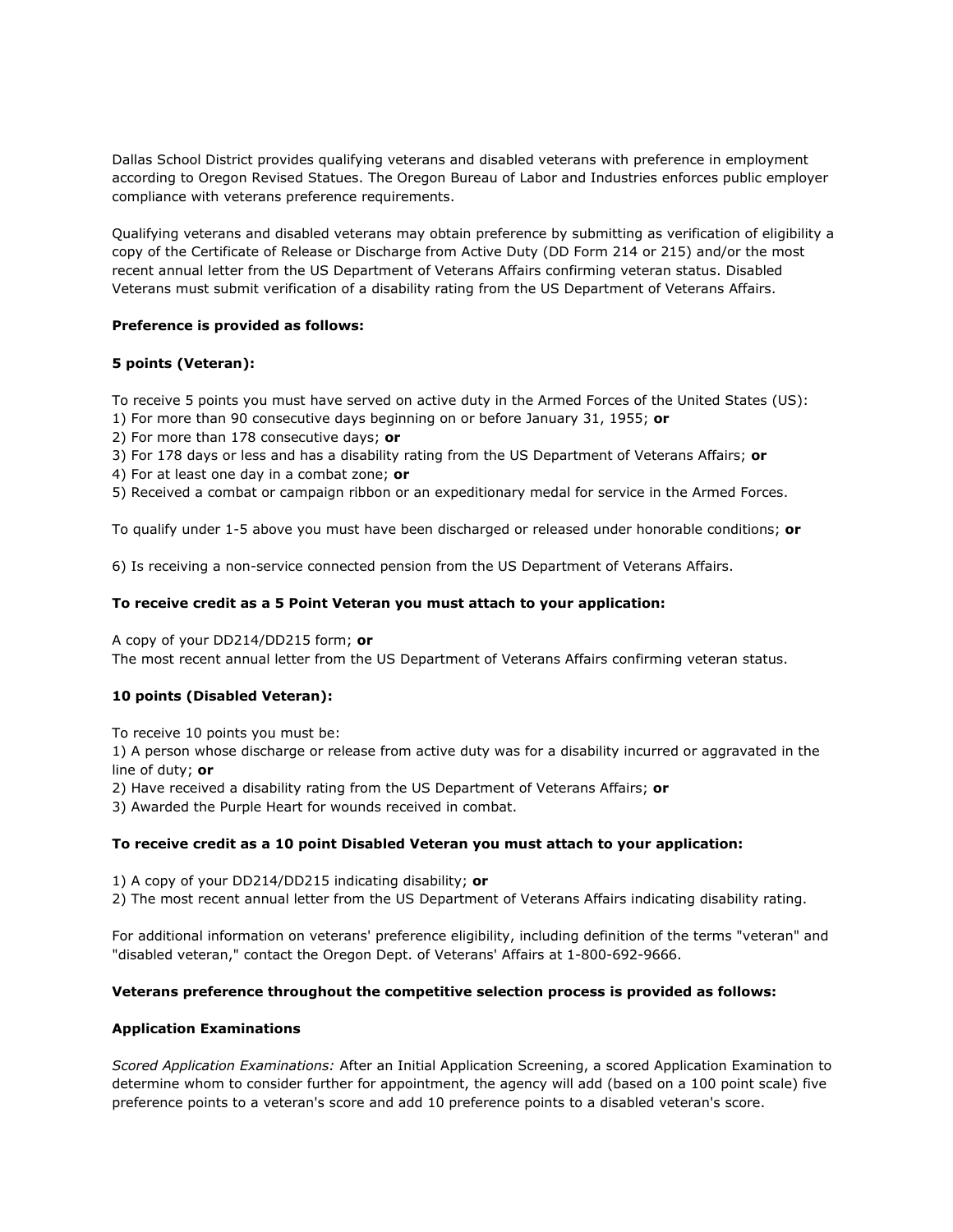Dallas School District provides qualifying veterans and disabled veterans with preference in employment according to Oregon Revised Statues. The Oregon Bureau of Labor and Industries enforces public employer compliance with veterans preference requirements.

Qualifying veterans and disabled veterans may obtain preference by submitting as verification of eligibility a copy of the Certificate of Release or Discharge from Active Duty (DD Form 214 or 215) and/or the most recent annual letter from the US Department of Veterans Affairs confirming veteran status. Disabled Veterans must submit verification of a disability rating from the US Department of Veterans Affairs.

## **Preference is provided as follows:**

## **5 points (Veteran):**

To receive 5 points you must have served on active duty in the Armed Forces of the United States (US):

1) For more than 90 consecutive days beginning on or before January 31, 1955; **or**

2) For more than 178 consecutive days; **or**

3) For 178 days or less and has a disability rating from the US Department of Veterans Affairs; **or**

4) For at least one day in a combat zone; **or**

5) Received a combat or campaign ribbon or an expeditionary medal for service in the Armed Forces.

To qualify under 1-5 above you must have been discharged or released under honorable conditions; **or**

6) Is receiving a non-service connected pension from the US Department of Veterans Affairs.

## **To receive credit as a 5 Point Veteran you must attach to your application:**

A copy of your DD214/DD215 form; **or**

The most recent annual letter from the US Department of Veterans Affairs confirming veteran status.

## **10 points (Disabled Veteran):**

To receive 10 points you must be:

1) A person whose discharge or release from active duty was for a disability incurred or aggravated in the line of duty; **or**

2) Have received a disability rating from the US Department of Veterans Affairs; **or**

3) Awarded the Purple Heart for wounds received in combat.

## **To receive credit as a 10 point Disabled Veteran you must attach to your application:**

1) A copy of your DD214/DD215 indicating disability; **or**

2) The most recent annual letter from the US Department of Veterans Affairs indicating disability rating.

For additional information on veterans' preference eligibility, including definition of the terms "veteran" and "disabled veteran," contact the Oregon Dept. of Veterans' Affairs at 1-800-692-9666.

#### **Veterans preference throughout the competitive selection process is provided as follows:**

#### **Application Examinations**

*Scored Application Examinations:* After an Initial Application Screening, a scored Application Examination to determine whom to consider further for appointment, the agency will add (based on a 100 point scale) five preference points to a veteran's score and add 10 preference points to a disabled veteran's score.